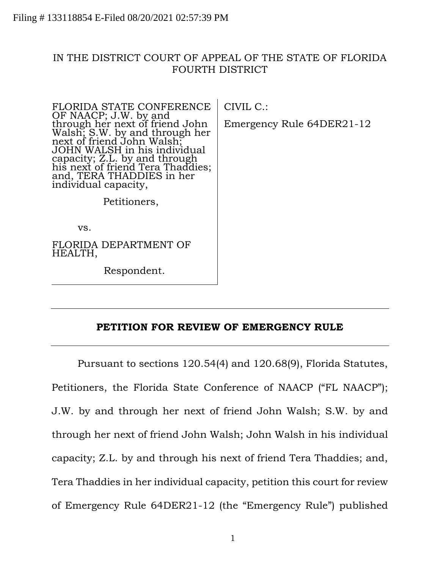## IN THE DISTRICT COURT OF APPEAL OF THE STATE OF FLORIDA FOURTH DISTRICT

| FLORIDA STATE CONFERENCE                                                                                                                                                                                                                                                            | $CIVIL C$ .:              |
|-------------------------------------------------------------------------------------------------------------------------------------------------------------------------------------------------------------------------------------------------------------------------------------|---------------------------|
| OF NAACP; J.W. by and<br>through her next of friend John<br>Walsh; S.W. by and through her<br>next of friend John Walsh;<br>JOHN WALSH in his individual<br>capacity; Z.L. by and through<br>his next of friend Tera Thaddies;<br>and, TERA THADDIES in her<br>individual capacity, | Emergency Rule 64DER21-12 |
| Petitioners,                                                                                                                                                                                                                                                                        |                           |
| VS.                                                                                                                                                                                                                                                                                 |                           |
| FLORIDA DEPARTMENT OF<br>HEALTH,                                                                                                                                                                                                                                                    |                           |
| Respondent.                                                                                                                                                                                                                                                                         |                           |
|                                                                                                                                                                                                                                                                                     |                           |

## **PETITION FOR REVIEW OF EMERGENCY RULE**

Pursuant to sections 120.54(4) and 120.68(9), Florida Statutes, Petitioners, the Florida State Conference of NAACP ("FL NAACP"); J.W. by and through her next of friend John Walsh; S.W. by and through her next of friend John Walsh; John Walsh in his individual capacity; Z.L. by and through his next of friend Tera Thaddies; and, Tera Thaddies in her individual capacity, petition this court for review of Emergency Rule 64DER21-12 (the "Emergency Rule") published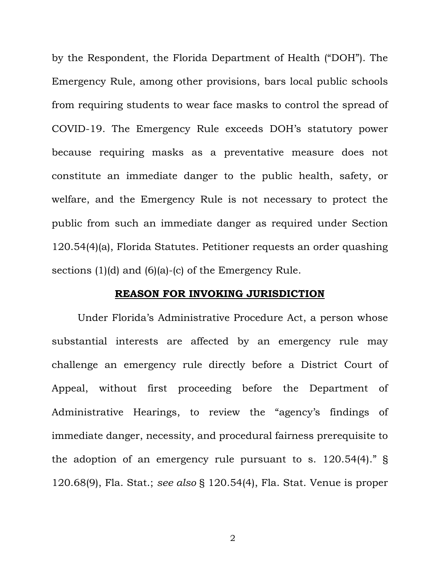by the Respondent, the Florida Department of Health ("DOH"). The Emergency Rule, among other provisions, bars local public schools from requiring students to wear face masks to control the spread of COVID-19. The Emergency Rule exceeds DOH's statutory power because requiring masks as a preventative measure does not constitute an immediate danger to the public health, safety, or welfare, and the Emergency Rule is not necessary to protect the public from such an immediate danger as required under Section 120.54(4)(a), Florida Statutes. Petitioner requests an order quashing sections (1)(d) and (6)(a)-(c) of the Emergency Rule.

#### **REASON FOR INVOKING JURISDICTION**

Under Florida's Administrative Procedure Act, a person whose substantial interests are affected by an emergency rule may challenge an emergency rule directly before a District Court of Appeal, without first proceeding before the Department of Administrative Hearings, to review the "agency's findings of immediate danger, necessity, and procedural fairness prerequisite to the adoption of an emergency rule pursuant to s. 120.54(4)." § 120.68(9), Fla. Stat.; *see also* § 120.54(4), Fla. Stat. Venue is proper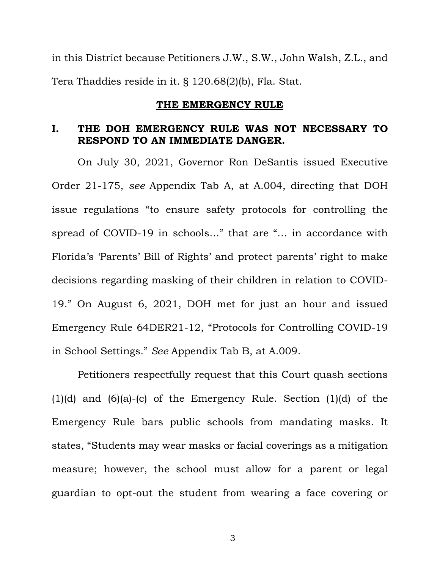in this District because Petitioners J.W., S.W., John Walsh, Z.L., and Tera Thaddies reside in it. § 120.68(2)(b), Fla. Stat.

#### **THE EMERGENCY RULE**

## **I. THE DOH EMERGENCY RULE WAS NOT NECESSARY TO RESPOND TO AN IMMEDIATE DANGER.**

On July 30, 2021, Governor Ron DeSantis issued Executive Order 21-175, *see* Appendix Tab A, at A.004, directing that DOH issue regulations "to ensure safety protocols for controlling the spread of COVID-19 in schools…" that are "… in accordance with Florida's 'Parents' Bill of Rights' and protect parents' right to make decisions regarding masking of their children in relation to COVID-19." On August 6, 2021, DOH met for just an hour and issued Emergency Rule 64DER21-12, "Protocols for Controlling COVID-19 in School Settings." *See* Appendix Tab B, at A.009.

Petitioners respectfully request that this Court quash sections  $(1)(d)$  and  $(6)(a)-(c)$  of the Emergency Rule. Section  $(1)(d)$  of the Emergency Rule bars public schools from mandating masks. It states, "Students may wear masks or facial coverings as a mitigation measure; however, the school must allow for a parent or legal guardian to opt-out the student from wearing a face covering or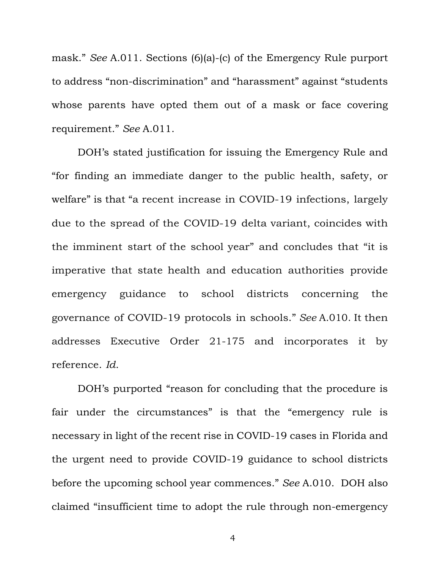mask." *See* A.011. Sections (6)(a)-(c) of the Emergency Rule purport to address "non-discrimination" and "harassment" against "students whose parents have opted them out of a mask or face covering requirement." *See* A.011.

DOH's stated justification for issuing the Emergency Rule and "for finding an immediate danger to the public health, safety, or welfare" is that "a recent increase in COVID-19 infections, largely due to the spread of the COVID-19 delta variant, coincides with the imminent start of the school year" and concludes that "it is imperative that state health and education authorities provide emergency guidance to school districts concerning the governance of COVID-19 protocols in schools." *See* A.010. It then addresses Executive Order 21-175 and incorporates it by reference. *Id*.

DOH's purported "reason for concluding that the procedure is fair under the circumstances" is that the "emergency rule is necessary in light of the recent rise in COVID-19 cases in Florida and the urgent need to provide COVID-19 guidance to school districts before the upcoming school year commences." *See* A.010. DOH also claimed "insufficient time to adopt the rule through non-emergency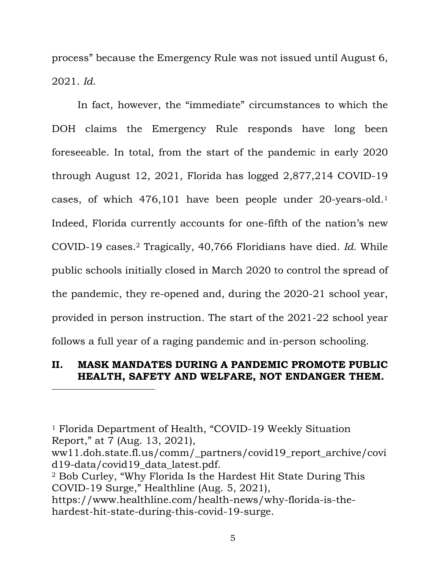process" because the Emergency Rule was not issued until August 6, 2021. *Id*.

In fact, however, the "immediate" circumstances to which the DOH claims the Emergency Rule responds have long been foreseeable. In total, from the start of the pandemic in early 2020 through August 12, 2021, Florida has logged 2,877,214 COVID-19 cases, of which 476,101 have been people under 20-years-old. 1 Indeed, Florida currently accounts for one-fifth of the nation's new COVID-19 cases.<sup>2</sup> Tragically, 40,766 Floridians have died. *Id.* While public schools initially closed in March 2020 to control the spread of the pandemic, they re-opened and, during the 2020-21 school year, provided in person instruction. The start of the 2021-22 school year follows a full year of a raging pandemic and in-person schooling.

## **II. MASK MANDATES DURING A PANDEMIC PROMOTE PUBLIC HEALTH, SAFETY AND WELFARE, NOT ENDANGER THEM.**

<sup>1</sup> Florida Department of Health, "COVID-19 Weekly Situation Report," at 7 (Aug. 13, 2021),

ww11.doh.state.fl.us/comm/\_partners/covid19\_report\_archive/covi d19-data/covid19\_data\_latest.pdf.

- <sup>2</sup> Bob Curley, "Why Florida Is the Hardest Hit State During This COVID-19 Surge," Healthline (Aug. 5, 2021),
- https://www.healthline.com/health-news/why-florida-is-thehardest-hit-state-during-this-covid-19-surge.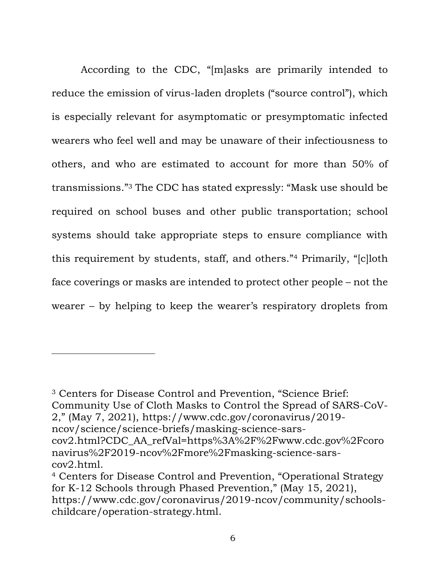According to the CDC, "[m]asks are primarily intended to reduce the emission of virus-laden droplets ("source control"), which is especially relevant for asymptomatic or presymptomatic infected wearers who feel well and may be unaware of their infectiousness to others, and who are estimated to account for more than 50% of transmissions." <sup>3</sup> The CDC has stated expressly: "Mask use should be required on school buses and other public transportation; school systems should take appropriate steps to ensure compliance with this requirement by students, staff, and others."<sup>4</sup> Primarily, "[c]loth face coverings or masks are intended to protect other people – not the wearer – by helping to keep the wearer's respiratory droplets from

<sup>3</sup> Centers for Disease Control and Prevention, "Science Brief: Community Use of Cloth Masks to Control the Spread of SARS-CoV-2," (May 7, 2021), https://www.cdc.gov/coronavirus/2019-

ncov/science/science-briefs/masking-science-sars-

cov2.html?CDC\_AA\_refVal=https%3A%2F%2Fwww.cdc.gov%2Fcoro navirus%2F2019-ncov%2Fmore%2Fmasking-science-sarscov2.html.

<sup>4</sup> Centers for Disease Control and Prevention, "Operational Strategy for K-12 Schools through Phased Prevention," (May 15, 2021), https://www.cdc.gov/coronavirus/2019-ncov/community/schoolschildcare/operation-strategy.html.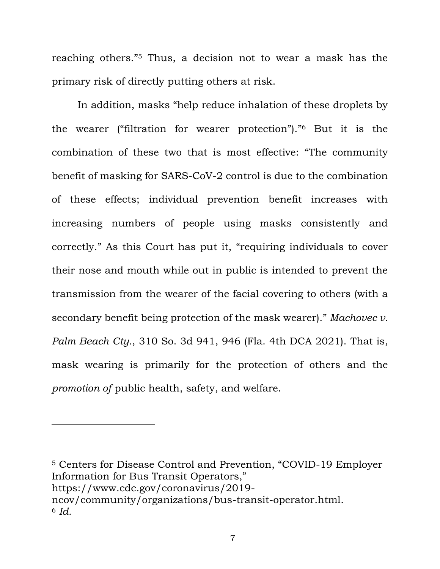reaching others."<sup>5</sup> Thus, a decision not to wear a mask has the primary risk of directly putting others at risk.

In addition, masks "help reduce inhalation of these droplets by the wearer ("filtration for wearer protection")." <sup>6</sup> But it is the combination of these two that is most effective: "The community benefit of masking for SARS-CoV-2 control is due to the combination of these effects; individual prevention benefit increases with increasing numbers of people using masks consistently and correctly." As this Court has put it, "requiring individuals to cover their nose and mouth while out in public is intended to prevent the transmission from the wearer of the facial covering to others (with a secondary benefit being protection of the mask wearer)." *Machovec v. Palm Beach Cty.*, 310 So. 3d 941, 946 (Fla. 4th DCA 2021). That is, mask wearing is primarily for the protection of others and the *promotion of* public health, safety, and welfare.

<sup>5</sup> Centers for Disease Control and Prevention, "COVID-19 Employer Information for Bus Transit Operators," https://www.cdc.gov/coronavirus/2019 ncov/community/organizations/bus-transit-operator.html. <sup>6</sup> *Id.*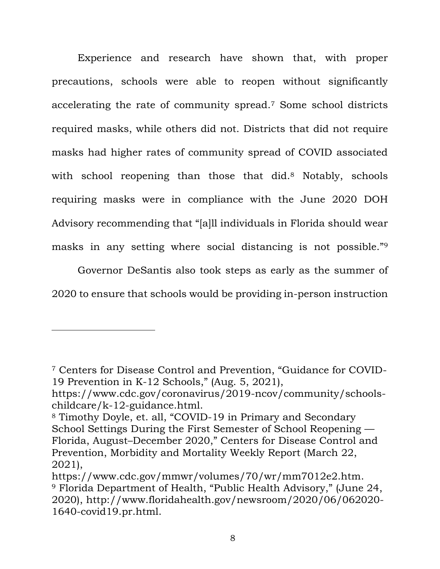Experience and research have shown that, with proper precautions, schools were able to reopen without significantly accelerating the rate of community spread.<sup>7</sup> Some school districts required masks, while others did not. Districts that did not require masks had higher rates of community spread of COVID associated with school reopening than those that did.<sup>8</sup> Notably, schools requiring masks were in compliance with the June 2020 DOH Advisory recommending that "[a]ll individuals in Florida should wear masks in any setting where social distancing is not possible."<sup>9</sup>

Governor DeSantis also took steps as early as the summer of 2020 to ensure that schools would be providing in-person instruction

<sup>7</sup> Centers for Disease Control and Prevention, "Guidance for COVID-19 Prevention in K-12 Schools," (Aug. 5, 2021),

https://www.cdc.gov/coronavirus/2019-ncov/community/schoolschildcare/k-12-guidance.html.

<sup>8</sup> Timothy Doyle, et. all, "COVID-19 in Primary and Secondary School Settings During the First Semester of School Reopening — Florida, August–December 2020," Centers for Disease Control and Prevention, Morbidity and Mortality Weekly Report (March 22, 2021),

https://www.cdc.gov/mmwr/volumes/70/wr/mm7012e2.htm. <sup>9</sup> Florida Department of Health, "Public Health Advisory," (June 24, 2020), http://www.floridahealth.gov/newsroom/2020/06/062020- 1640-covid19.pr.html.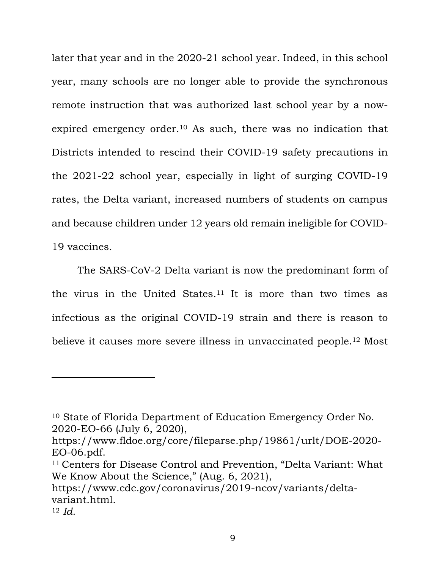later that year and in the 2020-21 school year. Indeed, in this school year, many schools are no longer able to provide the synchronous remote instruction that was authorized last school year by a nowexpired emergency order. <sup>10</sup> As such, there was no indication that Districts intended to rescind their COVID-19 safety precautions in the 2021-22 school year, especially in light of surging COVID-19 rates, the Delta variant, increased numbers of students on campus and because children under 12 years old remain ineligible for COVID-19 vaccines.

The SARS-CoV-2 Delta variant is now the predominant form of the virus in the United States.<sup>11</sup> It is more than two times as infectious as the original COVID-19 strain and there is reason to believe it causes more severe illness in unvaccinated people.<sup>12</sup> Most

https://www.cdc.gov/coronavirus/2019-ncov/variants/deltavariant.html.

<sup>10</sup> State of Florida Department of Education Emergency Order No. 2020-EO-66 (July 6, 2020),

https://www.fldoe.org/core/fileparse.php/19861/urlt/DOE-2020- EO-06.pdf.

<sup>11</sup> Centers for Disease Control and Prevention, "Delta Variant: What We Know About the Science," (Aug. 6, 2021),

<sup>12</sup> *Id.*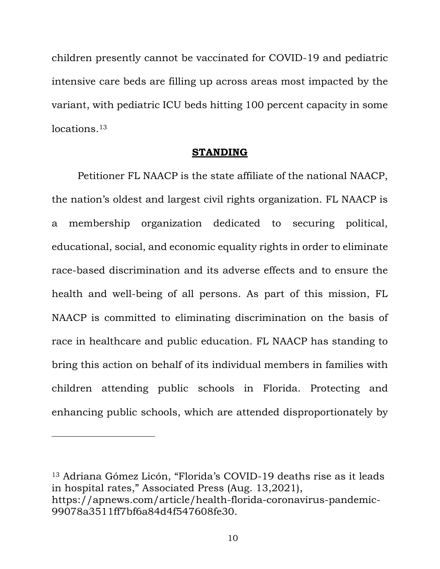children presently cannot be vaccinated for COVID-19 and pediatric intensive care beds are filling up across areas most impacted by the variant, with pediatric ICU beds hitting 100 percent capacity in some locations. 13

### **STANDING**

Petitioner FL NAACP is the state affiliate of the national NAACP, the nation's oldest and largest civil rights organization. FL NAACP is a membership organization dedicated to securing political, educational, social, and economic equality rights in order to eliminate race-based discrimination and its adverse effects and to ensure the health and well-being of all persons. As part of this mission, FL NAACP is committed to eliminating discrimination on the basis of race in healthcare and public education. FL NAACP has standing to bring this action on behalf of its individual members in families with children attending public schools in Florida. Protecting and enhancing public schools, which are attended disproportionately by

<sup>13</sup> Adriana Gómez Licón, "Florida's COVID-19 deaths rise as it leads in hospital rates," Associated Press (Aug. 13,2021), https://apnews.com/article/health-florida-coronavirus-pandemic-99078a3511ff7bf6a84d4f547608fe30.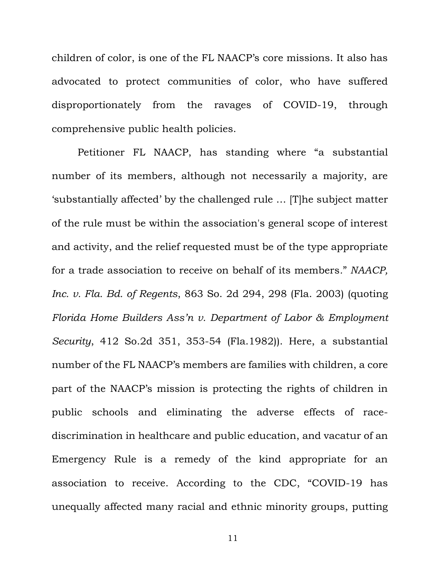children of color, is one of the FL NAACP's core missions. It also has advocated to protect communities of color, who have suffered disproportionately from the ravages of COVID-19, through comprehensive public health policies.

Petitioner FL NAACP, has standing where "a substantial number of its members, although not necessarily a majority, are 'substantially affected' by the challenged rule … [T]he subject matter of the rule must be within the association's general scope of interest and activity, and the relief requested must be of the type appropriate for a trade association to receive on behalf of its members*.*" *NAACP, Inc. v. Fla. Bd. of Regents*, 863 So. 2d 294, 298 (Fla. 2003) (quoting *Florida Home Builders Ass'n v. Department of Labor & Employment Security*, 412 So.2d 351, 353-54 (Fla.1982)). Here, a substantial number of the FL NAACP's members are families with children, a core part of the NAACP's mission is protecting the rights of children in public schools and eliminating the adverse effects of racediscrimination in healthcare and public education, and vacatur of an Emergency Rule is a remedy of the kind appropriate for an association to receive. According to the CDC, "COVID-19 has unequally affected many racial and ethnic minority groups, putting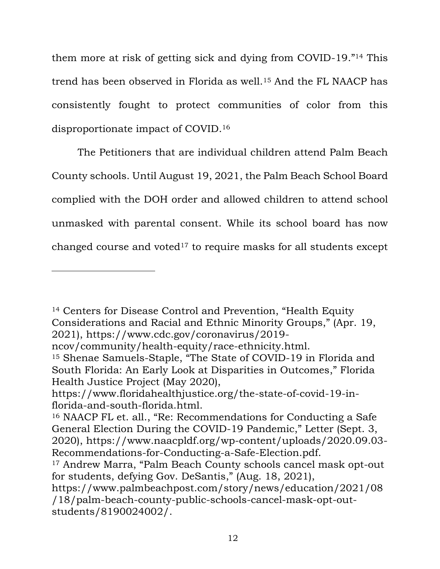them more at risk of getting sick and dying from COVID-19."<sup>14</sup> This trend has been observed in Florida as well.<sup>15</sup> And the FL NAACP has consistently fought to protect communities of color from this disproportionate impact of COVID.<sup>16</sup>

The Petitioners that are individual children attend Palm Beach County schools. Until August 19, 2021, the Palm Beach School Board complied with the DOH order and allowed children to attend school unmasked with parental consent. While its school board has now changed course and voted<sup>17</sup> to require masks for all students except

<sup>14</sup> Centers for Disease Control and Prevention, "Health Equity Considerations and Racial and Ethnic Minority Groups," (Apr. 19, 2021), https://www.cdc.gov/coronavirus/2019-

ncov/community/health-equity/race-ethnicity.html.

<sup>15</sup> Shenae Samuels-Staple, "The State of COVID-19 in Florida and South Florida: An Early Look at Disparities in Outcomes," Florida Health Justice Project (May 2020),

https://www.floridahealthjustice.org/the-state-of-covid-19-inflorida-and-south-florida.html.

<sup>16</sup> NAACP FL et. all., "Re: Recommendations for Conducting a Safe General Election During the COVID-19 Pandemic," Letter (Sept. 3, 2020), https://www.naacpldf.org/wp-content/uploads/2020.09.03- Recommendations-for-Conducting-a-Safe-Election.pdf.

<sup>17</sup> Andrew Marra, "Palm Beach County schools cancel mask opt-out for students, defying Gov. DeSantis," (Aug. 18, 2021),

https://www.palmbeachpost.com/story/news/education/2021/08 /18/palm-beach-county-public-schools-cancel-mask-opt-outstudents/8190024002/.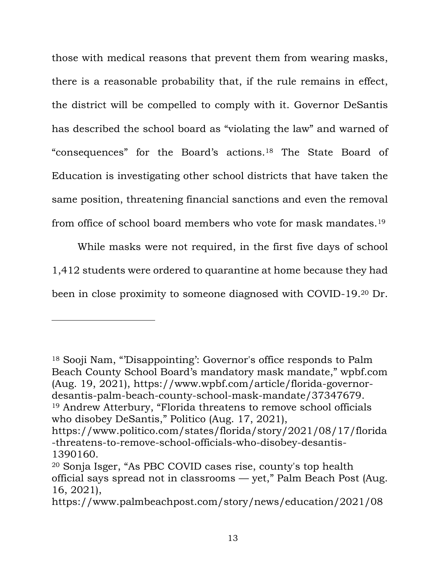those with medical reasons that prevent them from wearing masks, there is a reasonable probability that, if the rule remains in effect, the district will be compelled to comply with it. Governor DeSantis has described the school board as "violating the law" and warned of "consequences" for the Board's actions.<sup>18</sup> The State Board of Education is investigating other school districts that have taken the same position, threatening financial sanctions and even the removal from office of school board members who vote for mask mandates.<sup>19</sup>

While masks were not required, in the first five days of school 1,412 students were ordered to quarantine at home because they had been in close proximity to someone diagnosed with COVID-19.<sup>20</sup> Dr.

<sup>18</sup> Sooji Nam, "'Disappointing': Governor's office responds to Palm Beach County School Board's mandatory mask mandate," wpbf.com (Aug. 19, 2021), https://www.wpbf.com/article/florida-governordesantis-palm-beach-county-school-mask-mandate/37347679. <sup>19</sup> Andrew Atterbury, "Florida threatens to remove school officials

who disobey DeSantis," Politico (Aug. 17, 2021),

https://www.politico.com/states/florida/story/2021/08/17/florida -threatens-to-remove-school-officials-who-disobey-desantis-1390160.

<sup>20</sup> Sonja Isger, "As PBC COVID cases rise, county's top health official says spread not in classrooms — yet," Palm Beach Post (Aug. 16, 2021),

https://www.palmbeachpost.com/story/news/education/2021/08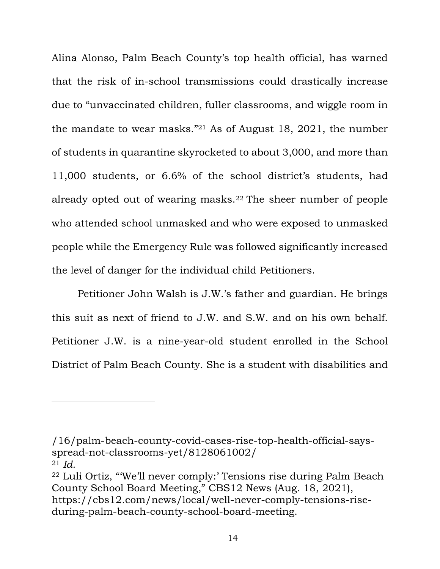Alina Alonso, Palm Beach County's top health official, has warned that the risk of in-school transmissions could drastically increase due to "unvaccinated children, fuller classrooms, and wiggle room in the mandate to wear masks."<sup>21</sup> As of August 18, 2021, the number of students in quarantine skyrocketed to about 3,000, and more than 11,000 students, or 6.6% of the school district's students, had already opted out of wearing masks.<sup>22</sup> The sheer number of people who attended school unmasked and who were exposed to unmasked people while the Emergency Rule was followed significantly increased the level of danger for the individual child Petitioners.

Petitioner John Walsh is J.W.'s father and guardian. He brings this suit as next of friend to J.W. and S.W. and on his own behalf. Petitioner J.W. is a nine-year-old student enrolled in the School District of Palm Beach County. She is a student with disabilities and

<sup>/16/</sup>palm-beach-county-covid-cases-rise-top-health-official-saysspread-not-classrooms-yet/8128061002/ 21  $Id$ 

<sup>22</sup> Luli Ortiz, "'We'll never comply:' Tensions rise during Palm Beach County School Board Meeting," CBS12 News (Aug. 18, 2021), https://cbs12.com/news/local/well-never-comply-tensions-riseduring-palm-beach-county-school-board-meeting.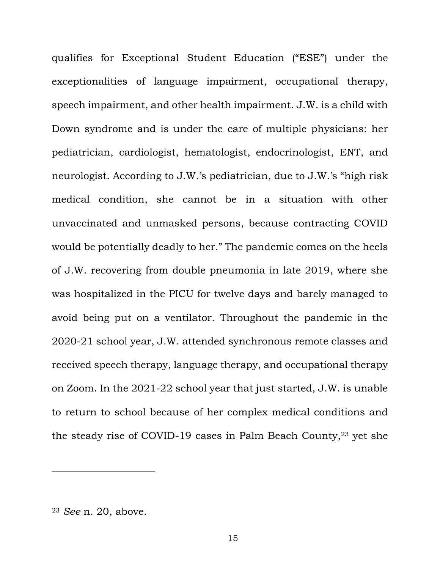qualifies for Exceptional Student Education ("ESE") under the exceptionalities of language impairment, occupational therapy, speech impairment, and other health impairment. J.W. is a child with Down syndrome and is under the care of multiple physicians: her pediatrician, cardiologist, hematologist, endocrinologist, ENT, and neurologist. According to J.W.'s pediatrician, due to J.W.'s "high risk medical condition, she cannot be in a situation with other unvaccinated and unmasked persons, because contracting COVID would be potentially deadly to her." The pandemic comes on the heels of J.W. recovering from double pneumonia in late 2019, where she was hospitalized in the PICU for twelve days and barely managed to avoid being put on a ventilator. Throughout the pandemic in the 2020-21 school year, J.W. attended synchronous remote classes and received speech therapy, language therapy, and occupational therapy on Zoom. In the 2021-22 school year that just started, J.W. is unable to return to school because of her complex medical conditions and the steady rise of COVID-19 cases in Palm Beach County, <sup>23</sup> yet she

<sup>23</sup> *See* n. 20, above.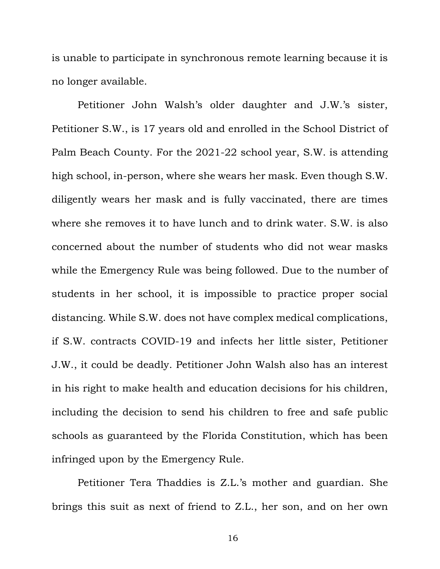is unable to participate in synchronous remote learning because it is no longer available.

Petitioner John Walsh's older daughter and J.W.'s sister, Petitioner S.W., is 17 years old and enrolled in the School District of Palm Beach County. For the 2021-22 school year, S.W. is attending high school, in-person, where she wears her mask. Even though S.W. diligently wears her mask and is fully vaccinated, there are times where she removes it to have lunch and to drink water. S.W. is also concerned about the number of students who did not wear masks while the Emergency Rule was being followed. Due to the number of students in her school, it is impossible to practice proper social distancing. While S.W. does not have complex medical complications, if S.W. contracts COVID-19 and infects her little sister, Petitioner J.W., it could be deadly. Petitioner John Walsh also has an interest in his right to make health and education decisions for his children, including the decision to send his children to free and safe public schools as guaranteed by the Florida Constitution, which has been infringed upon by the Emergency Rule.

Petitioner Tera Thaddies is Z.L.'s mother and guardian. She brings this suit as next of friend to Z.L., her son, and on her own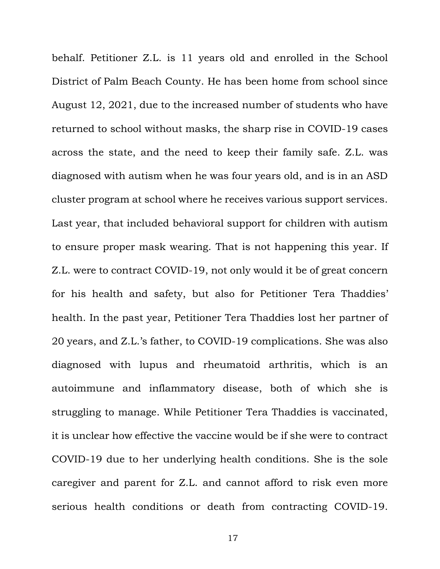behalf. Petitioner Z.L. is 11 years old and enrolled in the School District of Palm Beach County. He has been home from school since August 12, 2021, due to the increased number of students who have returned to school without masks, the sharp rise in COVID-19 cases across the state, and the need to keep their family safe. Z.L. was diagnosed with autism when he was four years old, and is in an ASD cluster program at school where he receives various support services. Last year, that included behavioral support for children with autism to ensure proper mask wearing. That is not happening this year. If Z.L. were to contract COVID-19, not only would it be of great concern for his health and safety, but also for Petitioner Tera Thaddies' health. In the past year, Petitioner Tera Thaddies lost her partner of 20 years, and Z.L.'s father, to COVID-19 complications. She was also diagnosed with lupus and rheumatoid arthritis, which is an autoimmune and inflammatory disease, both of which she is struggling to manage. While Petitioner Tera Thaddies is vaccinated, it is unclear how effective the vaccine would be if she were to contract COVID-19 due to her underlying health conditions. She is the sole caregiver and parent for Z.L. and cannot afford to risk even more serious health conditions or death from contracting COVID-19.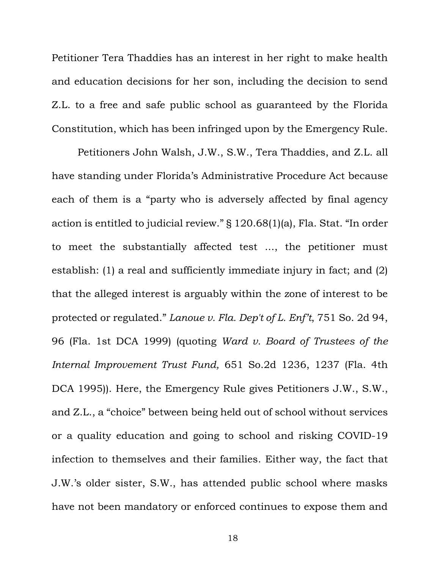Petitioner Tera Thaddies has an interest in her right to make health and education decisions for her son, including the decision to send Z.L. to a free and safe public school as guaranteed by the Florida Constitution, which has been infringed upon by the Emergency Rule.

Petitioners John Walsh, J.W., S.W., Tera Thaddies, and Z.L. all have standing under Florida's Administrative Procedure Act because each of them is a "party who is adversely affected by final agency action is entitled to judicial review." § 120.68(1)(a), Fla. Stat. "In order to meet the substantially affected test ..., the petitioner must establish: (1) a real and sufficiently immediate injury in fact; and (2) that the alleged interest is arguably within the zone of interest to be protected or regulated." *Lanoue v. Fla. Dep't of L. Enf't*, 751 So. 2d 94, 96 (Fla. 1st DCA 1999) (quoting *Ward v. Board of Trustees of the Internal Improvement Trust Fund,* 651 So.2d 1236, 1237 (Fla. 4th DCA 1995)). Here, the Emergency Rule gives Petitioners J.W., S.W., and Z.L., a "choice" between being held out of school without services or a quality education and going to school and risking COVID-19 infection to themselves and their families. Either way, the fact that J.W.'s older sister, S.W., has attended public school where masks have not been mandatory or enforced continues to expose them and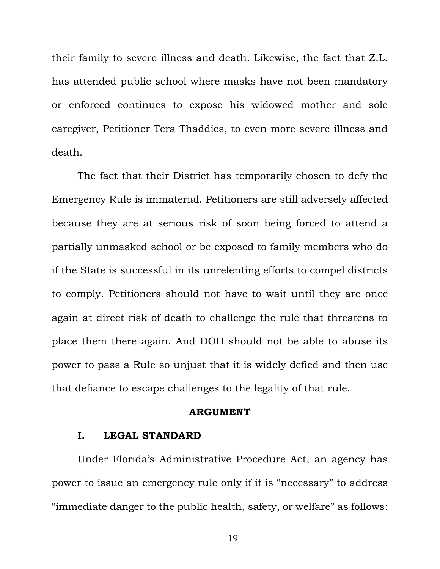their family to severe illness and death. Likewise, the fact that Z.L. has attended public school where masks have not been mandatory or enforced continues to expose his widowed mother and sole caregiver, Petitioner Tera Thaddies, to even more severe illness and death.

The fact that their District has temporarily chosen to defy the Emergency Rule is immaterial. Petitioners are still adversely affected because they are at serious risk of soon being forced to attend a partially unmasked school or be exposed to family members who do if the State is successful in its unrelenting efforts to compel districts to comply. Petitioners should not have to wait until they are once again at direct risk of death to challenge the rule that threatens to place them there again. And DOH should not be able to abuse its power to pass a Rule so unjust that it is widely defied and then use that defiance to escape challenges to the legality of that rule.

#### **ARGUMENT**

### **I. LEGAL STANDARD**

Under Florida's Administrative Procedure Act, an agency has power to issue an emergency rule only if it is "necessary" to address "immediate danger to the public health, safety, or welfare" as follows: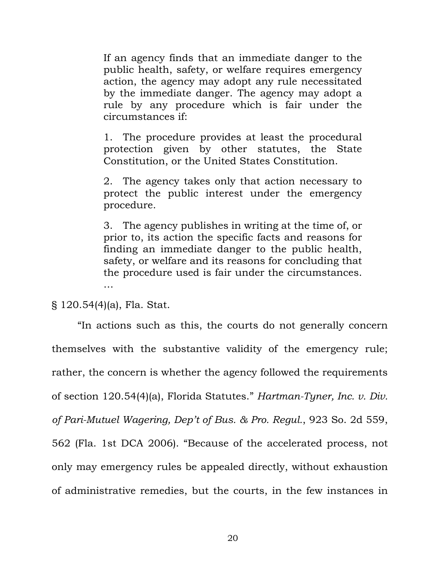If an agency finds that an immediate danger to the public health, safety, or welfare requires emergency action, the agency may adopt any rule necessitated by the immediate danger. The agency may adopt a rule by any procedure which is fair under the circumstances if:

1. The procedure provides at least the procedural protection given by other statutes, the State Constitution, or the United States Constitution.

2. The agency takes only that action necessary to protect the public interest under the emergency procedure.

3. The agency publishes in writing at the time of, or prior to, its action the specific facts and reasons for finding an immediate danger to the public health, safety, or welfare and its reasons for concluding that the procedure used is fair under the circumstances. …

### § 120.54(4)(a), Fla. Stat.

"In actions such as this, the courts do not generally concern themselves with the substantive validity of the emergency rule; rather, the concern is whether the agency followed the requirements of section 120.54(4)(a), Florida Statutes." *Hartman-Tyner, Inc. v. Div. of Pari-Mutuel Wagering, Dep't of Bus. & Pro. Regul.*, 923 So. 2d 559, 562 (Fla. 1st DCA 2006). "Because of the accelerated process, not only may emergency rules be appealed directly, without exhaustion of administrative remedies, but the courts, in the few instances in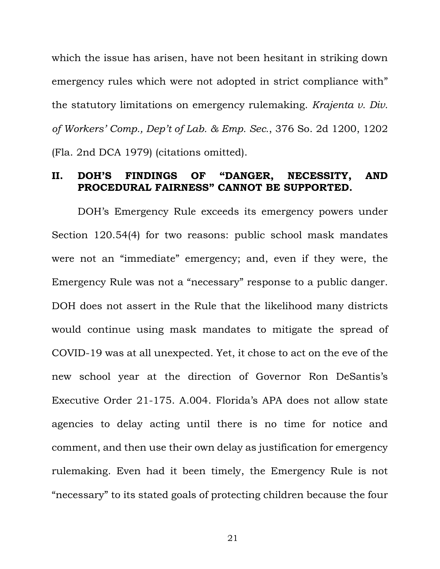which the issue has arisen, have not been hesitant in striking down emergency rules which were not adopted in strict compliance with" the statutory limitations on emergency rulemaking. *Krajenta v. Div. of Workers' Comp., Dep't of Lab. & Emp. Sec.*, 376 So. 2d 1200, 1202 (Fla. 2nd DCA 1979) (citations omitted).

### **II. DOH'S FINDINGS OF "DANGER, NECESSITY, AND PROCEDURAL FAIRNESS" CANNOT BE SUPPORT**

DOH's Emergency Rule exceeds its emergency powers under Section 120.54(4) for two reasons: public school mask mandates were not an "immediate" emergency; and, even if they were, the Emergency Rule was not a "necessary" response to a public danger. DOH does not assert in the Rule that the likelihood many districts would continue using mask mandates to mitigate the spread of COVID-19 was at all unexpected. Yet, it chose to act on the eve of the new school year at the direction of Governor Ron DeSantis's Executive Order 21-175. A.004. Florida's APA does not allow state agencies to delay acting until there is no time for notice and comment, and then use their own delay as justification for emergency rulemaking. Even had it been timely, the Emergency Rule is not "necessary" to its stated goals of protecting children because the four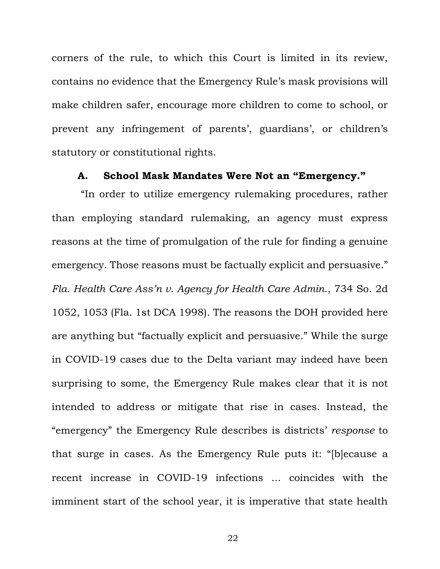corners of the rule, to which this Court is limited in its review, contains no evidence that the Emergency Rule's mask provisions will make children safer, encourage more children to come to school, or prevent any infringement of parents', guardians', or children's statutory or constitutional rights.

## **A. School Mask Mandates Were Not an "Emergency."**

"In order to utilize emergency rulemaking procedures, rather than employing standard rulemaking, an agency must express reasons at the time of promulgation of the rule for finding a genuine emergency. Those reasons must be factually explicit and persuasive." *Fla. Health Care Ass'n v. Agency for Health Care Admin.*, 734 So. 2d 1052, 1053 (Fla. 1st DCA 1998). The reasons the DOH provided here are anything but "factually explicit and persuasive." While the surge in COVID-19 cases due to the Delta variant may indeed have been surprising to some, the Emergency Rule makes clear that it is not intended to address or mitigate that rise in cases. Instead, the "emergency" the Emergency Rule describes is districts' *response* to that surge in cases. As the Emergency Rule puts it: "[b]ecause a recent increase in COVID-19 infections ... coincides with the imminent start of the school year, it is imperative that state health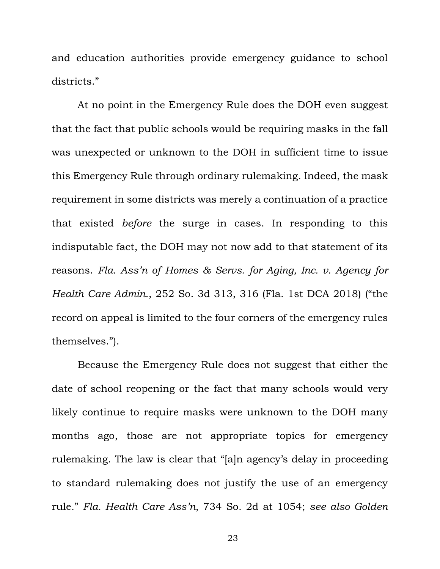and education authorities provide emergency guidance to school districts."

At no point in the Emergency Rule does the DOH even suggest that the fact that public schools would be requiring masks in the fall was unexpected or unknown to the DOH in sufficient time to issue this Emergency Rule through ordinary rulemaking. Indeed, the mask requirement in some districts was merely a continuation of a practice that existed *before* the surge in cases. In responding to this indisputable fact, the DOH may not now add to that statement of its reasons. *Fla. Ass'n of Homes & Servs. for Aging, Inc. v. Agency for Health Care Admin.*, 252 So. 3d 313, 316 (Fla. 1st DCA 2018) ("the record on appeal is limited to the four corners of the emergency rules themselves.").

Because the Emergency Rule does not suggest that either the date of school reopening or the fact that many schools would very likely continue to require masks were unknown to the DOH many months ago, those are not appropriate topics for emergency rulemaking. The law is clear that "[a]n agency's delay in proceeding to standard rulemaking does not justify the use of an emergency rule." *Fla. Health Care Ass'n*, 734 So. 2d at 1054; *see also Golden*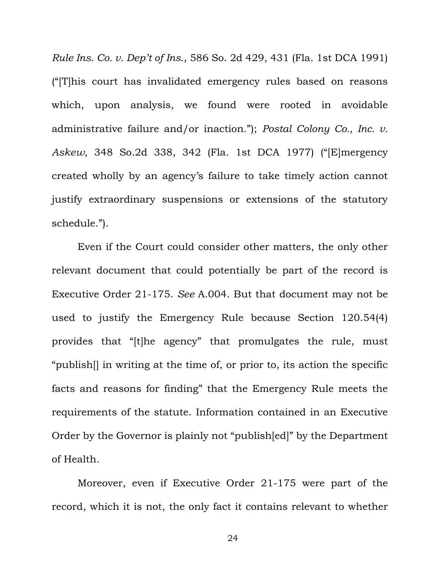*Rule Ins. Co. v. Dep't of Ins.*, 586 So. 2d 429, 431 (Fla. 1st DCA 1991) ("[T]his court has invalidated emergency rules based on reasons which, upon analysis, we found were rooted in avoidable administrative failure and/or inaction."); *Postal Colony Co., Inc. v. Askew*, 348 So.2d 338, 342 (Fla. 1st DCA 1977) ("[E]mergency created wholly by an agency's failure to take timely action cannot justify extraordinary suspensions or extensions of the statutory schedule.").

Even if the Court could consider other matters, the only other relevant document that could potentially be part of the record is Executive Order 21-175. *See* A.004. But that document may not be used to justify the Emergency Rule because Section 120.54(4) provides that "[t]he agency" that promulgates the rule, must "publish[] in writing at the time of, or prior to, its action the specific facts and reasons for finding" that the Emergency Rule meets the requirements of the statute. Information contained in an Executive Order by the Governor is plainly not "publish[ed]" by the Department of Health.

Moreover, even if Executive Order 21-175 were part of the record, which it is not, the only fact it contains relevant to whether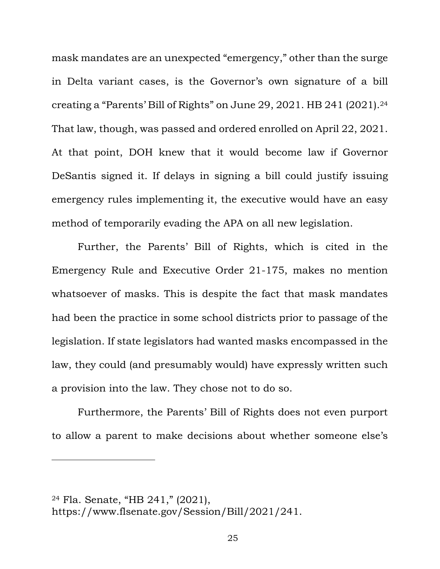mask mandates are an unexpected "emergency," other than the surge in Delta variant cases, is the Governor's own signature of a bill creating a "Parents' Bill of Rights" on June 29, 2021. HB 241 (2021).<sup>24</sup> That law, though, was passed and ordered enrolled on April 22, 2021. At that point, DOH knew that it would become law if Governor DeSantis signed it. If delays in signing a bill could justify issuing emergency rules implementing it, the executive would have an easy method of temporarily evading the APA on all new legislation.

Further, the Parents' Bill of Rights, which is cited in the Emergency Rule and Executive Order 21-175, makes no mention whatsoever of masks. This is despite the fact that mask mandates had been the practice in some school districts prior to passage of the legislation. If state legislators had wanted masks encompassed in the law, they could (and presumably would) have expressly written such a provision into the law. They chose not to do so.

Furthermore, the Parents' Bill of Rights does not even purport to allow a parent to make decisions about whether someone else's

<sup>24</sup> Fla. Senate, "HB 241," (2021), https://www.flsenate.gov/Session/Bill/2021/241.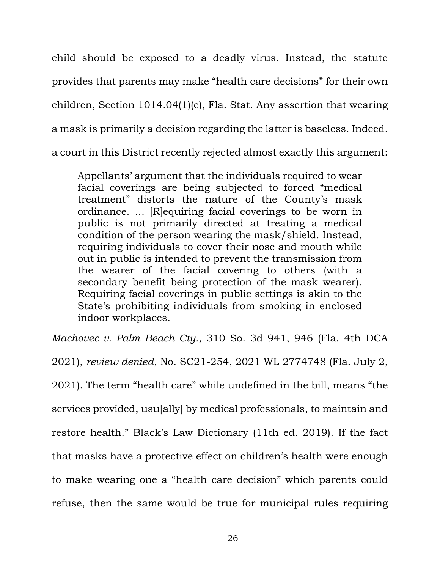child should be exposed to a deadly virus. Instead, the statute provides that parents may make "health care decisions" for their own children, Section 1014.04(1)(e), Fla. Stat. Any assertion that wearing a mask is primarily a decision regarding the latter is baseless. Indeed. a court in this District recently rejected almost exactly this argument:

Appellants' argument that the individuals required to wear facial coverings are being subjected to forced "medical treatment" distorts the nature of the County's mask ordinance. ... [R]equiring facial coverings to be worn in public is not primarily directed at treating a medical condition of the person wearing the mask/shield. Instead, requiring individuals to cover their nose and mouth while out in public is intended to prevent the transmission from the wearer of the facial covering to others (with a secondary benefit being protection of the mask wearer). Requiring facial coverings in public settings is akin to the State's prohibiting individuals from smoking in enclosed indoor workplaces.

*Machovec v. Palm Beach Cty.,* 310 So. 3d 941, 946 (Fla. 4th DCA 2021), *review denied*, No. SC21-254, 2021 WL 2774748 (Fla. July 2, 2021). The term "health care" while undefined in the bill, means "the services provided, usu[ally] by medical professionals, to maintain and restore health." Black's Law Dictionary (11th ed. 2019). If the fact that masks have a protective effect on children's health were enough to make wearing one a "health care decision" which parents could refuse, then the same would be true for municipal rules requiring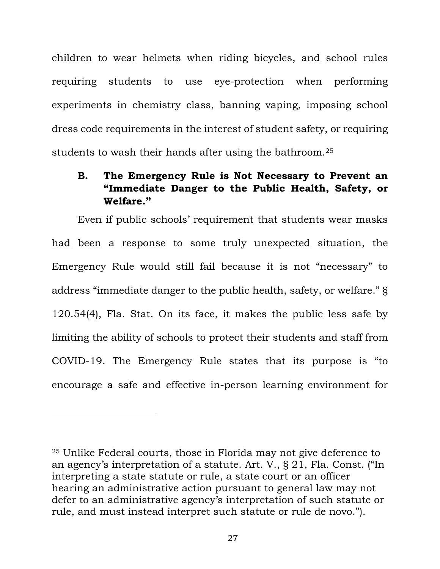children to wear helmets when riding bicycles, and school rules requiring students to use eye-protection when performing experiments in chemistry class, banning vaping, imposing school dress code requirements in the interest of student safety, or requiring students to wash their hands after using the bathroom.<sup>25</sup>

# **B. The Emergency Rule is Not Necessary to Prevent an "Immediate Danger to the Public Health, Safety, or Welfare."**

Even if public schools' requirement that students wear masks had been a response to some truly unexpected situation, the Emergency Rule would still fail because it is not "necessary" to address "immediate danger to the public health, safety, or welfare." § 120.54(4), Fla. Stat. On its face, it makes the public less safe by limiting the ability of schools to protect their students and staff from COVID-19. The Emergency Rule states that its purpose is "to encourage a safe and effective in-person learning environment for

<sup>25</sup> Unlike Federal courts, those in Florida may not give deference to an agency's interpretation of a statute. Art. V., § 21, Fla. Const. ("In interpreting a state statute or rule, a state court or an officer hearing an administrative action pursuant to general law may not defer to an administrative agency's interpretation of such statute or rule, and must instead interpret such statute or rule de novo.").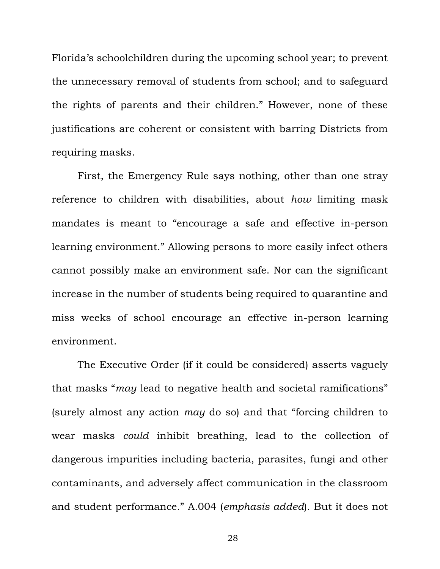Florida's schoolchildren during the upcoming school year; to prevent the unnecessary removal of students from school; and to safeguard the rights of parents and their children." However, none of these justifications are coherent or consistent with barring Districts from requiring masks.

First, the Emergency Rule says nothing, other than one stray reference to children with disabilities, about *how* limiting mask mandates is meant to "encourage a safe and effective in-person learning environment." Allowing persons to more easily infect others cannot possibly make an environment safe. Nor can the significant increase in the number of students being required to quarantine and miss weeks of school encourage an effective in-person learning environment.

The Executive Order (if it could be considered) asserts vaguely that masks "*may* lead to negative health and societal ramifications" (surely almost any action *may* do so) and that "forcing children to wear masks *could* inhibit breathing, lead to the collection of dangerous impurities including bacteria, parasites, fungi and other contaminants, and adversely affect communication in the classroom and student performance." A.004 (*emphasis added*). But it does not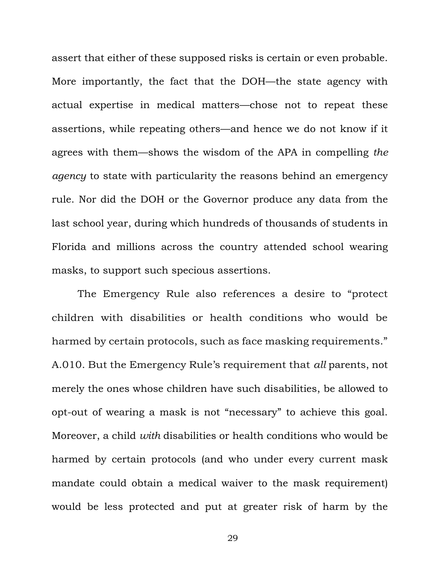assert that either of these supposed risks is certain or even probable. More importantly, the fact that the DOH—the state agency with actual expertise in medical matters—chose not to repeat these assertions, while repeating others—and hence we do not know if it agrees with them—shows the wisdom of the APA in compelling *the agency* to state with particularity the reasons behind an emergency rule. Nor did the DOH or the Governor produce any data from the last school year, during which hundreds of thousands of students in Florida and millions across the country attended school wearing masks, to support such specious assertions.

The Emergency Rule also references a desire to "protect children with disabilities or health conditions who would be harmed by certain protocols, such as face masking requirements." A.010. But the Emergency Rule's requirement that *all* parents, not merely the ones whose children have such disabilities, be allowed to opt-out of wearing a mask is not "necessary" to achieve this goal. Moreover, a child *with* disabilities or health conditions who would be harmed by certain protocols (and who under every current mask mandate could obtain a medical waiver to the mask requirement) would be less protected and put at greater risk of harm by the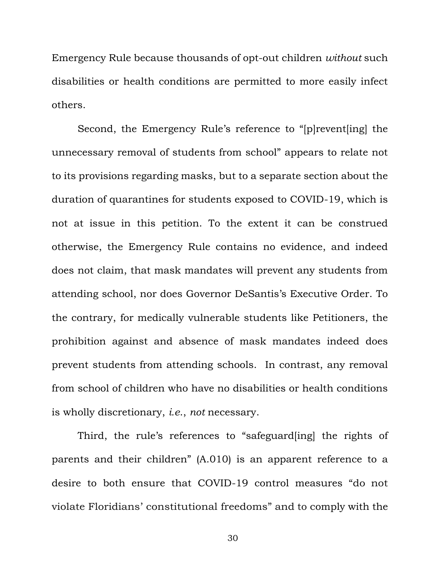Emergency Rule because thousands of opt-out children *without* such disabilities or health conditions are permitted to more easily infect others.

Second, the Emergency Rule's reference to "[p]revent[ing] the unnecessary removal of students from school" appears to relate not to its provisions regarding masks, but to a separate section about the duration of quarantines for students exposed to COVID-19, which is not at issue in this petition. To the extent it can be construed otherwise, the Emergency Rule contains no evidence, and indeed does not claim, that mask mandates will prevent any students from attending school, nor does Governor DeSantis's Executive Order. To the contrary, for medically vulnerable students like Petitioners, the prohibition against and absence of mask mandates indeed does prevent students from attending schools. In contrast, any removal from school of children who have no disabilities or health conditions is wholly discretionary, *i.e*., *not* necessary.

Third, the rule's references to "safeguard[ing] the rights of parents and their children" (A.010) is an apparent reference to a desire to both ensure that COVID-19 control measures "do not violate Floridians' constitutional freedoms" and to comply with the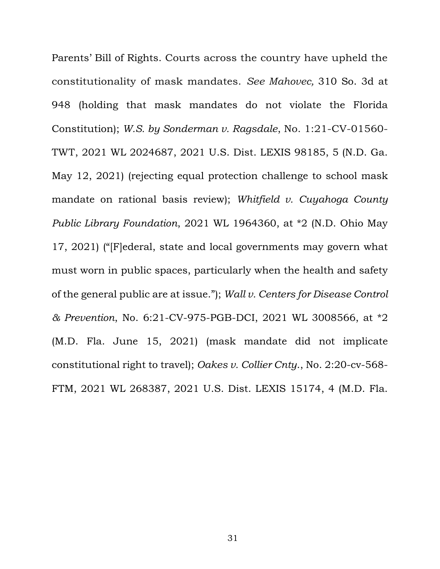Parents' Bill of Rights. Courts across the country have upheld the constitutionality of mask mandates. *See Mahovec,* 310 So. 3d at 948 (holding that mask mandates do not violate the Florida Constitution); *W.S. by Sonderman v. Ragsdale*, No. 1:21-CV-01560- TWT, 2021 WL 2024687, 2021 U.S. Dist. LEXIS 98185, 5 (N.D. Ga. May 12, 2021) (rejecting equal protection challenge to school mask mandate on rational basis review); *Whitfield v. Cuyahoga County Public Library Foundation*, 2021 WL 1964360, at \*2 (N.D. Ohio May 17, 2021) ("[F]ederal, state and local governments may govern what must worn in public spaces, particularly when the health and safety of the general public are at issue."); *Wall v. Centers for Disease Control & Prevention*, No. 6:21-CV-975-PGB-DCI, 2021 WL 3008566, at \*2 (M.D. Fla. June 15, 2021) (mask mandate did not implicate constitutional right to travel); *Oakes v. Collier Cnty*., No. 2:20-cv-568- FTM, 2021 WL 268387, 2021 U.S. Dist. LEXIS 15174, 4 (M.D. Fla.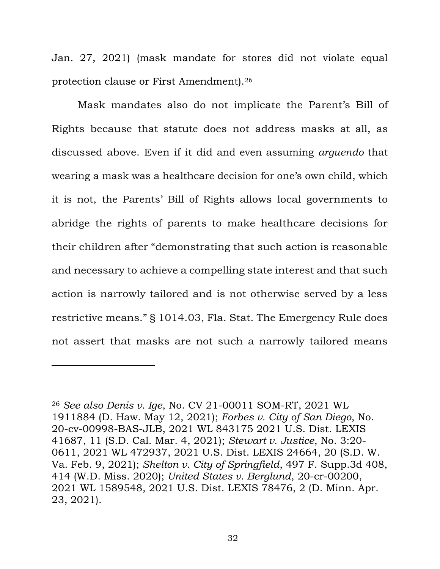Jan. 27, 2021) (mask mandate for stores did not violate equal protection clause or First Amendment). 26

Mask mandates also do not implicate the Parent's Bill of Rights because that statute does not address masks at all, as discussed above. Even if it did and even assuming *arguendo* that wearing a mask was a healthcare decision for one's own child, which it is not, the Parents' Bill of Rights allows local governments to abridge the rights of parents to make healthcare decisions for their children after "demonstrating that such action is reasonable and necessary to achieve a compelling state interest and that such action is narrowly tailored and is not otherwise served by a less restrictive means." § 1014.03, Fla. Stat. The Emergency Rule does not assert that masks are not such a narrowly tailored means

<sup>26</sup> *See also Denis v. Ige*, No. CV 21-00011 SOM-RT, 2021 WL 1911884 (D. Haw. May 12, 2021); *Forbes v. City of San Diego*, No. 20-cv-00998-BAS-JLB, 2021 WL 843175 2021 U.S. Dist. LEXIS 41687, 11 (S.D. Cal. Mar. 4, 2021); *Stewart v. Justice*, No. 3:20- 0611, 2021 WL 472937, 2021 U.S. Dist. LEXIS 24664, 20 (S.D. W. Va. Feb. 9, 2021); *Shelton v. City of Springfield*, 497 F. Supp.3d 408, 414 (W.D. Miss. 2020); *United States v. Berglund*, 20-cr-00200, 2021 WL 1589548, 2021 U.S. Dist. LEXIS 78476, 2 (D. Minn. Apr. 23, 2021).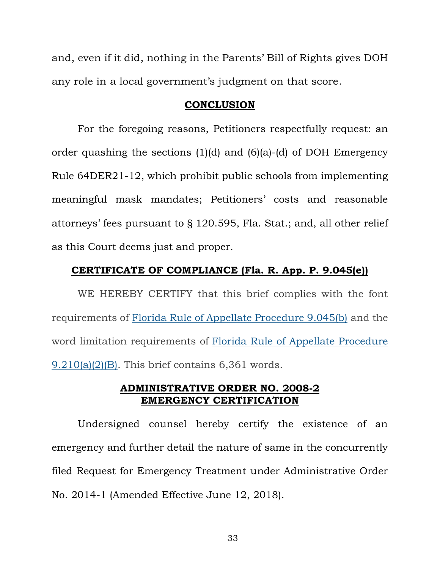and, even if it did, nothing in the Parents' Bill of Rights gives DOH any role in a local government's judgment on that score.

### **CONCLUSION**

For the foregoing reasons, Petitioners respectfully request: an order quashing the sections (1)(d) and (6)(a)-(d) of DOH Emergency Rule 64DER21-12, which prohibit public schools from implementing meaningful mask mandates; Petitioners' costs and reasonable attorneys' fees pursuant to § 120.595, Fla. Stat.; and, all other relief as this Court deems just and proper.

### **CERTIFICATE OF COMPLIANCE (Fla. R. App. P. 9.045(e))**

WE HEREBY CERTIFY that this brief complies with the font requirements of Florida Rule of Appellate [Procedure](https://1.next.westlaw.com/Link/Document/FullText?findType=L&pubNum=1005181&cite=FLSTRAPR9.045&originatingDoc=I7326052baa9911d9abd0b7e0b0b63439&refType=LQ&originationContext=document&transitionType=DocumentItem&ppcid=31c32607ef82409ba416922b1f72ea6a&contextData=(sc.Category)) 9.045(b) and the word limitation requirements of Florida Rule of Appellate [Procedure](https://1.next.westlaw.com/Link/Document/FullText?findType=L&pubNum=1005181&cite=FLSTRAPR9.210&originatingDoc=I7326052baa9911d9abd0b7e0b0b63439&refType=LQ&originationContext=document&transitionType=DocumentItem&ppcid=31c32607ef82409ba416922b1f72ea6a&contextData=(sc.Category)) [9.210\(a\)\(2\)\(B\).](https://1.next.westlaw.com/Link/Document/FullText?findType=L&pubNum=1005181&cite=FLSTRAPR9.210&originatingDoc=I7326052baa9911d9abd0b7e0b0b63439&refType=LQ&originationContext=document&transitionType=DocumentItem&ppcid=31c32607ef82409ba416922b1f72ea6a&contextData=(sc.Category)) This brief contains 6,361 words.

### **ADMINISTRATIVE ORDER NO. 2008-2 EMERGENCY CERTIFICATION**

Undersigned counsel hereby certify the existence of an emergency and further detail the nature of same in the concurrently filed Request for Emergency Treatment under Administrative Order No. 2014-1 (Amended Effective June 12, 2018).